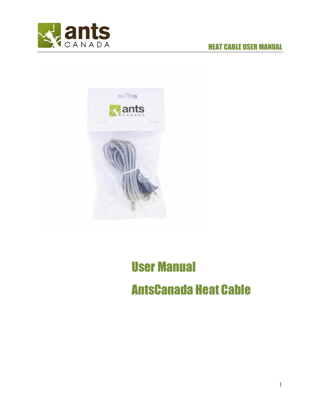

# HEAT CABLE USER MANUAL



# User Manual AntsCanada Heat Cable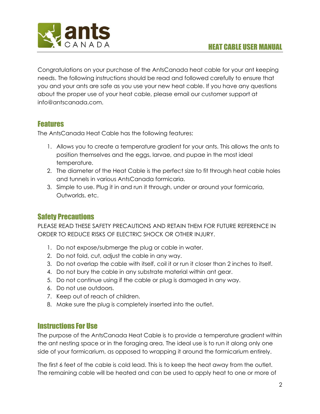

Congratulations on your purchase of the AntsCanada heat cable for your ant keeping needs. The following instructions should be read and followed carefully to ensure that you and your ants are safe as you use your new heat cable. If you have any questions about the proper use of your heat cable, please email our customer support at info@antscanada.com.

### Features

The AntsCanada Heat Cable has the following features:

- 1. Allows you to create a temperature gradient for your ants. This allows the ants to position themselves and the eggs, larvae, and pupae in the most ideal temperature.
- 2. The diameter of the Heat Cable is the perfect size to fit through heat cable holes and tunnels in various AntsCanada formicaria.
- 3. Simple to use. Plug it in and run it through, under or around your formicaria, Outworlds, etc.

## Safety Precautions

PLEASE READ THESE SAFETY PRECAUTIONS AND RETAIN THEM FOR FUTURE REFERENCE IN ORDER TO REDUCE RISKS OF ELECTRIC SHOCK OR OTHER INJURY.

- 1. Do not expose/submerge the plug or cable in water.
- 2. Do not fold, cut, adjust the cable in any way.
- 3. Do not overlap the cable with itself, coil it or run it closer than 2 inches to itself.
- 4. Do not bury the cable in any substrate material within ant gear.
- 5. Do not continue using if the cable or plug is damaged in any way.
- 6. Do not use outdoors.
- 7. Keep out of reach of children.
- 8. Make sure the plug is completely inserted into the outlet.

#### Instructions For Use

The purpose of the AntsCanada Heat Cable is to provide a temperature gradient within the ant nesting space or in the foraging area. The ideal use is to run it along only one side of your formicarium, as opposed to wrapping it around the formicarium entirely.

The first 6 feet of the cable is cold lead. This is to keep the heat away from the outlet. The remaining cable will be heated and can be used to apply heat to one or more of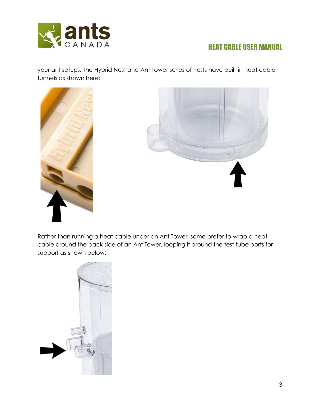

your ant setups. The Hybrid Nest and Ant Tower series of nests have built-in heat cable tunnels as shown here:





Rather than running a heat cable under an Ant Tower, some prefer to wrap a heat cable around the back side of an Ant Tower, looping it around the test tube ports for support as shown below: